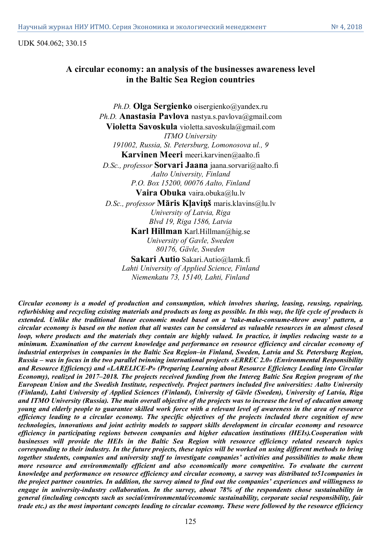UDK 504.062; 330.15

# **A circular economy: an analysis of the businesses awareness level in the Baltic Sea Region countries**

*Ph.D.* **Olga Sergienko** oisergienko@yandex.ru *Ph.D.* **Anastasia Pavlova** nastya.s.pavlova@gmail.com **Violetta Savoskula** violetta.savoskula@gmail.com *ITMO University 191002, Russia, St. Petersburg, Lomonosova ul., 9* **Karvinen Meeri** meeri.karvinen@aalto.fi *D.Sc., professor* **Sorvari Jaana** jaana.sorvari@aalto.fi *Aalto University, Finland P.O. Box 15200, 00076 Aalto, Finland* **Vaira Obuka** vaira.obuka@lu.lv *D.Sc., professor* **Māris Kļaviņš** maris.klavins@lu.lv *University of Latvia, Riga Blvd 19, Riga 1586, Latvia* **Karl Hillman** Karl.Hillman@hig.se *University of Gavle, Sweden 80176, Gävle, Sweden* **Sakari Autio** Sakari.Autio@lamk.fi

*Lahti University of Applied Science, Finland Niemenkatu 73, 15140, Lahti, Finland*

*Circular economy is a model of production and consumption, which involves sharing, leasing, reusing, repairing, refurbishing and recycling existing materials and products as long as possible. In this way, the life cycle of products is extended. Unlike the traditional linear economic model based on a 'take-make-consume-throw away' pattern, a circular economy is based on the notion that all wastes can be considered as valuable resources in an almost closed loop, where products and the materials they contain are highly valued. In practice, it implies reducing waste to a minimum. Examination of the current knowledge and performance on resource efficiency and circular economy of industrial enterprises in companies in the Baltic Sea Region–in Finland, Sweden, Latvia and St. Petersburg Region, Russia – was in focus in the two parallel twinning international projects «ERREC 2.0» (Environmental Responsibility and Resource Efficiency) and «LARELICE-P» (Preparing Learning about Resource Efficiency Leading into Circular Economy), realized in 2017–2018. The projects received funding from the Intereg Baltic Sea Region program of the European Union and the Swedish Institute, respectively. Project partners included five universities: Aalto University (Finland), Lahti University of Applied Sciences (Finland), University of Gävle (Sweden), University of Latvia, Riga and ITMO University (Russia). The main overall objective of the projects was to increase the level of education among young and elderly people to guarantee skilled work force with a relevant level of awareness in the area of resource efficiency leading to a circular economy. The specific objectives of the projects included there cognition of new technologies, innovations and joint activity models to support skills development in circular economy and resource efficiency in participating regions between companies and higher education institutions (HEIs).Cooperation with businesses will provide the HEIs in the Baltic Sea Region with resource efficiency related research topics corresponding to their industry. In the future projects, these topics will be worked on using different methods to bring together students, companies and university staff to investigate companies' activities and possibilities to make them more resource and environmentally efficient and also economically more competitive. To evaluate the current knowledge and performance on resource efficiency and circular economy, a survey was distributed to51companies in the project partner countries. In addition, the survey aimed to find out the companies' experiences and willingness to engage in university-industry collaboration. In the survey, about 78% of the respondents chose sustainability in general (including concepts such as social/environmental/economic sustainability, corporate social responsibility, fair trade etc.) as the most important concepts leading to circular economy. These were followed by the resource efficiency*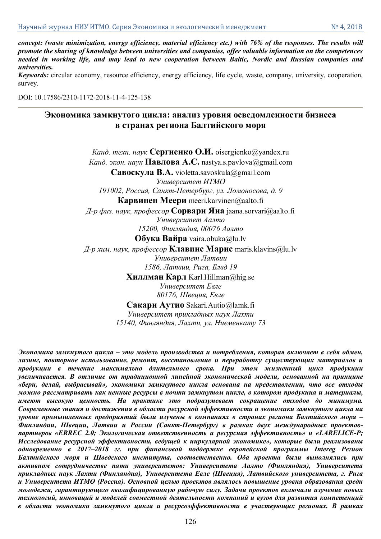*concept: (waste minimization, energy efficiency, material efficiency etc.) with 76% of the responses. The results will promote the sharing of knowledge between universities and companies, offer valuable information on the competences needed in working life, and may lead to new cooperation between Baltic, Nordic and Russian companies and universities.*

*Keywords:* circular economy, resource efficiency, energy efficiency, life cycle, waste, company, university, cooperation, survey.

DOI: 10.17586/2310-1172-2018-11-4-125-138

# **Экономика замкнутого цикла: анализ уровня осведомленности бизнеса в странах региона Балтийского моря**

*Канд. техн. наук* **Сергиенко О.И.** oisergienko@yandex.ru *Канд. экон. наук* **Павлова А.С.** nastya.s.pavlova@gmail.com **Савоскула В.А.** violetta.savoskula@gmail.com *Университет ИТМО 191002, Россия, Санкт-Петербург, ул. Ломоносова, д. 9* **Карвинен Меери** meeri.karvinen@aalto.fi *Д-р физ. наук, профессор* **Сорвари Яна** jaana.sorvari@aalto.fi *Университет Аалто 15200, Финляндия, 00076 Аалто* **Обука Вайра** vaira.obuka@lu.lv *Д-р хим. наук, профессор* **Клавинс Марис** maris.klavins@lu.lv *Университет Латвии 1586, Латвии, Рига, Блвд 19* **Хиллман Карл** Karl.Hillman@hig.se *Университет Евле 80176, Швеция, Евле*

**Сакари Аутио** Sakari.Autio@lamk.fi

*Университет прикладных наук Лахти 15140, Финляндия, Лахти, ул. Ниеменкату 73*

*Экономика замкнутого цикла – это модель производства и потребления, которая включает в себя обмен, лизинг, повторное использование, ремонт, восстановление и переработку существующих материалов и продукции в течение максимально длительного срока. При этом жизненный цикл продукции увеличивается. В отличие от традиционной линейной экономической модели, основанной на принципе «бери, делай, выбрасывай», экономика замкнутого цикла основана на представлении, что все отходы можно рассматривать как ценные ресурсы в почти замкнутом цикле, в котором продукция и материалы, имеют высокую ценность. На практике это подразумевает сокращение отходов до минимума. Современные знания и достижения в области ресурсной эффективности и экономики замкнутого цикла на уровне промышленных предприятий были изучены в компаниях в странах региона Балтийского моря – Финляндии, Швеции, Латвии и России (Санкт-Петербург) в рамках двух международных проектовпартнеров «ERREC 2.0; Экологическая ответственность и ресурсная эффективность» и «LARELICE-P; Исследование ресурсной эффективности, ведущей к циркулярной экономике», которые были реализованы одновременно в 2017–2018 гг. при финансовой поддержке европейской программы Intereg Регион Балтийского моря и Шведского института, соответственно. Оба проекта были выполнялись при активном сотрудничестве пяти университетов: Университета Аалто (Финляндия), Университета прикладных наук Лахти (Финляндия), Университета Евле (Швеция), Латвийского университета, г. Рига и Университета ИТМО (Россия). Основной целью проектов являлось повышение уровня образования среди молодежи, гарантирующего квалифицированную рабочую силу. Задачи проектов включали изучение новых технологий, инноваций и моделей совместной деятельности компаний и вузов для развития компетенций в области экономики замкнутого цикла и ресурсоэффективности в участвующих регионах. В рамках*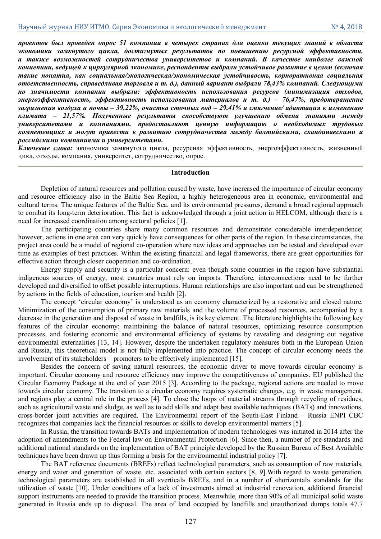*проектов был проведен опрос 51 компании в четырех странах для оценки текущих знаний в области экономики замкнутого цикла, достигнутых результатов по повышению ресурсной эффективности, а также возможностей сотрудничества университетов и компаний. В качестве наиболее важной концепции, ведущей к циркулярной экономике, респонденты выбрали устойчивое развитие в целом (включая такие понятия, как социальная/экологическая/экономическая устойчивость, корпоративная социальная ответственность, справедливая торговля и т. д.), данный вариант выбрали 78,43% компаний. Следующими по значимости компании выбрали: эффективность использования ресурсов (минимизация отходов, энергоэффективность, эффективность использования материалов и т. д.) – 76,47%, предотвращение загрязнения воздуха и почвы – 39,22%, очистка сточных вод – 29,41% и смягчение/ адаптация к изменению климата – 21,57%. Полученные результаты способствуют улучшению обмена знаниями между университетами и компаниями, предоставляют ценную информацию о необходимых трудовых компетенциях и могут привести к развитию сотрудничества между балтийскими, скандинавскими и российскими компаниями и университетами.*

*Ключевые слова:* экономика замкнутого цикла, ресурсная эффективность, энергоэффективность, жизненный цикл, отходы, компания, университет, сотрудничество, опрос.

## **Introduction**

Depletion of natural resources and pollution caused by waste, have increased the importance of circular economy and resource efficiency also in the Baltic Sea Region, a highly heterogeneous area in economic, environmental and cultural terms. The unique features of the Baltic Sea, and its environmental pressures, demand a broad regional approach to combat its long-term deterioration. This fact is acknowledged through a joint action in HELCOM, although there is a need for increased coordination among sectoral policies [1].

The participating countries share many common resources and demonstrate considerable interdependence; however, actions in one area can very quickly have consequences for other parts of the region. In these circumstances, the project area could be a model of regional co-operation where new ideas and approaches can be tested and developed over time as examples of best practices. Within the existing financial and legal frameworks, there are great opportunities for effective action through closer cooperation and co-ordination.

Energy supply and security is a particular concern: even though some countries in the region have substantial indigenous sources of energy, most countries must rely on imports. Therefore, interconnections need to be further developed and diversified to offset possible interruptions. Human relationships are also important and can be strengthened by actions in the fields of education, tourism and health [2].

The concept 'circular economy' is understood as an economy characterized by a restorative and closed nature. Minimization of the consumption of primary raw materials and the volume of processed resources, accompanied by a decrease in the generation and disposal of waste in landfills, is its key element. The literature highlights the following key features of the circular economy: maintaining the balance of natural resources, optimizing resource consumption processes, and fostering economic and environmental efficiency of systems by revealing and designing out negative environmental externalities [13, 14]. However, despite the undertaken regulatory measures both in the European Union and Russia, this theoretical model is not fully implemented into practice. The concept of circular economy needs the involvement of its stakeholders – promoters to be effectively implemented [15].

Besides the concern of saving natural resources, the economic driver to move towards circular economy is important. Circular economy and resource efficiency may improve the competitiveness of companies. EU published the Circular Economy Package at the end of year 2015 [3]. According to the package, regional actions are needed to move towards circular economy. The transition to a circular economy requires systematic changes, e.g. in waste management, and regions play a central role in the process [4]. To close the loops of material streams through recycling of residues, such as agricultural waste and sludge, as well as to add skills and adapt best available techniques (BATs) and innovations, cross-border joint activities are required. The Environmental report of the South-East Finland – Russia ENPI CBC recognizes that companies lack the financial resources or skills to develop environmental matters [5].

In Russia, the transition towards BATs and implementation of modern technologies was initiated in 2014 after the adoption of amendments to the Federal law on Environmental Protection [6]. Since then, a number of pre-standards and additional national standards on the implementation of BAT principle developed by the Russian Bureau of Best Available techniques have been drawn up thus forming a basis for the environmental industrial policy [7].

The BAT reference documents (BREFs) reflect technological parameters, such as consumption of raw materials, energy and water and generation of waste, etc. associated with certain sectors [8, 9].With regard to waste generation, technological parameters are established in all «vertical» BREFs, and in a number of «horizontal» standards for the utilization of waste [10]. Under conditions of a lack of investments aimed at industrial renovation, additional financial support instruments are needed to provide the transition process. Meanwhile, more than 90% of all municipal solid waste generated in Russia ends up to disposal. The area of land occupied by landfills and unauthorized dumps totals 47.7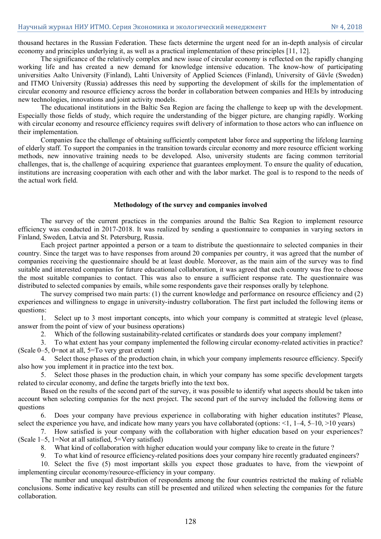thousand hectares in the Russian Federation. These facts determine the urgent need for an in-depth analysis of circular economy and principles underlying it, as well as a practical implementation of these principles [11, 12].

The significance of the relatively complex and new issue of circular economy is reflected on the rapidly changing working life and has created a new demand for knowledge intensive education. The know-how of participating universities Aalto University (Finland), Lahti University of Applied Sciences (Finland), University of Gävle (Sweden) and ITMO University (Russia) addresses this need by supporting the development of skills for the implementation of circular economy and resource efficiency across the border in collaboration between companies and HEIs by introducing new technologies, innovations and joint activity models.

The educational institutions in the Baltic Sea Region are facing the challenge to keep up with the development. Especially those fields of study, which require the understanding of the bigger picture, are changing rapidly. Working with circular economy and resource efficiency requires swift delivery of information to those actors who can influence on their implementation.

Companies face the challenge of obtaining sufficiently competent labor force and supporting the lifelong learning of elderly staff. To support the companies in the transition towards circular economy and more resource efficient working methods, new innovative training needs to be developed. Also, university students are facing common territorial challenges, that is, the challenge of acquiring experience that guarantees employment. To ensure the quality of education, institutions are increasing cooperation with each other and with the labor market. The goal is to respond to the needs of the actual work field.

#### **Methodology of the survey and companies involved**

The survey of the current practices in the companies around the Baltic Sea Region to implement resource efficiency was conducted in 2017-2018. It was realized by sending a questionnaire to companies in varying sectors in Finland, Sweden, Latvia and St. Petersburg, Russia.

Each project partner appointed a person or a team to distribute the questionnaire to selected companies in their country. Since the target was to have responses from around 20 companies per country, it was agreed that the number of companies receiving the questionnaire should be at least double. Moreover, as the main aim of the survey was to find suitable and interested companies for future educational collaboration, it was agreed that each country was free to choose the most suitable companies to contact. This was also to ensure a sufficient response rate. The questionnaire was distributed to selected companies by emails, while some respondents gave their responses orally by telephone.

The survey comprised two main parts: (1) the current knowledge and performance on resource efficiency and (2) experiences and willingness to engage in university-industry collaboration. The first part included the following items or questions:

1. Select up to 3 most important concepts, into which your company is committed at strategic level (please, answer from the point of view of your business operations)

2. Which of the following sustainability-related certificates or standards does your company implement?

3. To what extent has your company implemented the following circular economy-related activities in practice? (Scale 0–5, 0=not at all, 5=To very great extent)

4. Select those phases of the production chain, in which your company implements resource efficiency. Specify also how you implement it in practice into the text box.

5. Select those phases in the production chain, in which your company has some specific development targets related to circular economy, and define the targets briefly into the text box.

Based on the results of the second part of the survey, it was possible to identify what aspects should be taken into account when selecting companies for the next project. The second part of the survey included the following items or questions

6. Does your company have previous experience in collaborating with higher education institutes? Please, select the experience you have, and indicate how many years you have collaborated (options: <1, 1–4, 5–10, >10 years)

7. How satisfied is your company with the collaboration with higher education based on your experiences? (Scale 1–5, 1=Not at all satisfied, 5=Very satisfied)

8. What kind of collaboration with higher education would your company like to create in the future ?

9. To what kind of resource efficiency-related positions does your company hire recently graduated engineers?

10. Select the five (5) most important skills you expect those graduates to have, from the viewpoint of implementing circular economy/resource-efficiency in your company.

The number and unequal distribution of respondents among the four countries restricted the making of reliable conclusions. Some indicative key results can still be presented and utilized when selecting the companies for the future collaboration.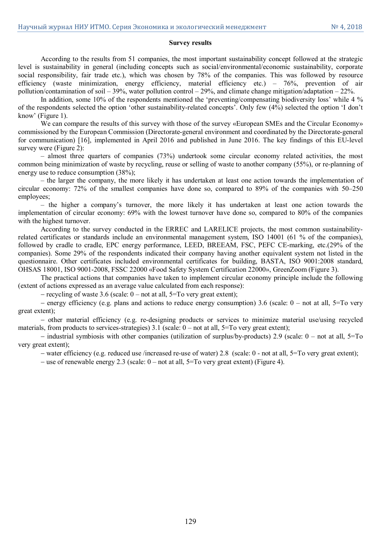#### **Survey results**

According to the results from 51 companies, the most important sustainability concept followed at the strategic level is sustainability in general (including concepts such as social/environmental/economic sustainability, corporate social responsibility, fair trade etc.), which was chosen by 78% of the companies. This was followed by resource efficiency (waste minimization, energy efficiency, material efficiency etc.) – 76%, prevention of air pollution/contamination of soil – 39%, water pollution control – 29%, and climate change mitigation/adaptation – 22%.

In addition, some 10% of the respondents mentioned the 'preventing/compensating biodiversity loss' while 4 % of the respondents selected the option 'other sustainability-related concepts'. Only few (4%) selected the option 'I don't know' (Figure 1).

We can compare the results of this survey with those of the survey «European SMEs and the Circular Economy» commissioned by the European Commission (Directorate-general environment and coordinated by the Directorate-general for communication) [16], implemented in April 2016 and published in June 2016. The key findings of this EU-level survey were (Figure 2):

– almost three quarters of companies (73%) undertook some circular economy related activities, the most common being minimization of waste by recycling, reuse or selling of waste to another company (55%), or re-planning of energy use to reduce consumption (38%);

– the larger the company, the more likely it has undertaken at least one action towards the implementation of circular economy: 72% of the smallest companies have done so, compared to 89% of the companies with 50–250 employees;

– the higher a company's turnover, the more likely it has undertaken at least one action towards the implementation of circular economy: 69% with the lowest turnover have done so, compared to 80% of the companies with the highest turnover.

According to the survey conducted in the ERREC and LARELICE projects, the most common sustainabilityrelated certificates or standards include an environmental management system, ISO 14001 (61 % of the companies), followed by cradle to cradle, EPC energy performance, LEED, BREEAM, FSC, PEFC CE-marking, etc.(29% of the companies). Some 29% of the respondents indicated their company having another equivalent system not listed in the questionnaire. Other certificates included environmental certificates for building, BASTA, ISO 9001:2008 standard, OHSAS 18001, ISO 9001-2008, FSSC 22000 «Food Safety System Certification 22000», GreenZoom (Figure 3).

The practical actions that companies have taken to implement circular economy principle include the following (extent of actions expressed as an average value calculated from each response):

- recycling of waste 3.6 (scale:  $0$  – not at all, 5=To very great extent);

– energy efficiency (e.g. plans and actions to reduce energy consumption) 3.6 (scale:  $0$  – not at all, 5=To very great extent);

 other material efficiency (e.g. re-designing products or services to minimize material use/using recycled materials, from products to services-strategies) 3.1 (scale:  $0 - not$  at all,  $5 = To$  very great extent);

 $\sim$  industrial symbiosis with other companies (utilization of surplus/by-products) 2.9 (scale: 0 – not at all, 5=To very great extent);

water efficiency (e.g. reduced use /increased re-use of water) 2.8 (scale: 0 - not at all, 5=To very great extent);

– use of renewable energy 2.3 (scale:  $0$  – not at all,  $5 = To$  very great extent) (Figure 4).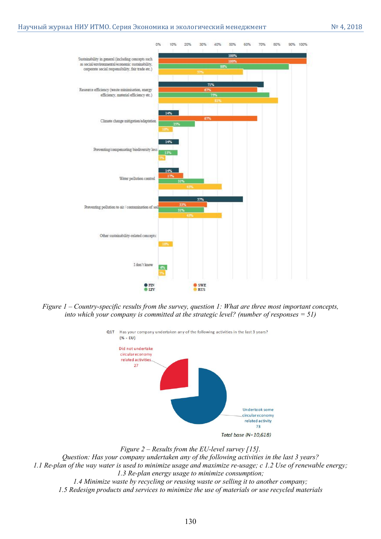

*Figure 1 – Country-specific results from the survey, question 1: What are three most important concepts, into which your company is committed at the strategic level? (number of responses = 51)*



#### *Figure 2 – Results from the EU-level survey [15].*

*Question: Has your company undertaken any of the following activities in the last 3 years? 1.1 Re-plan of the way water is used to minimize usage and maximize re-usage; c 1.2 Use of renewable energy; 1.3 Re-plan energy usage to minimize consumption;* 

*1.4 Minimize waste by recycling or reusing waste or selling it to another company; 1.5 Redesign products and services to minimize the use of materials or use recycled materials*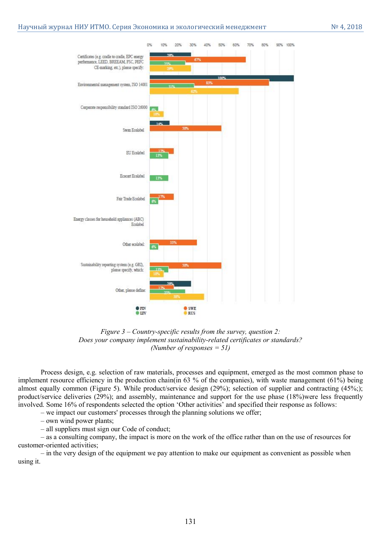

*Figure 3 – Country-specific results from the survey, question 2: Does your company implement sustainability-related certificates or standards? (Number of responses = 51)*

Process design, e.g. selection of raw materials, processes and equipment, emerged as the most common phase to implement resource efficiency in the production chain(in 63 % of the companies), with waste management (61%) being almost equally common (Figure 5). While product/service design (29%); selection of supplier and contracting (45%;); product/service deliveries (29%); and assembly, maintenance and support for the use phase (18%)were less frequently involved. Some 16% of respondents selected the option 'Other activities' and specified their response as follows:

– we impact our customers' processes through the planning solutions we offer;

– own wind power plants;

– all suppliers must sign our Code of conduct;

– as a consulting company, the impact is more on the work of the office rather than on the use of resources for customer-oriented activities;

– in the very design of the equipment we pay attention to make our equipment as convenient as possible when using it.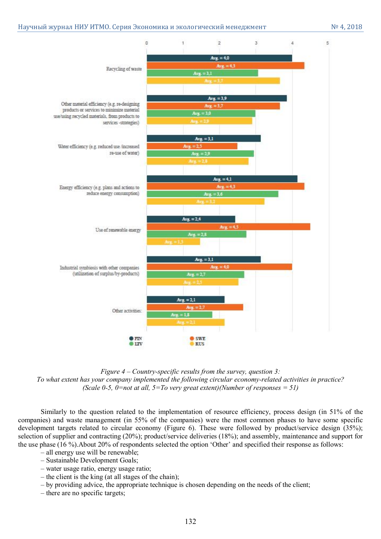

*Figure 4 – Country-specific results from the survey, question 3: To what extent has your company implemented the following circular economy-related activities in practice? (Scale 0-5, 0=not at all, 5=To very great extent)(Number of responses = 51)*

Similarly to the question related to the implementation of resource efficiency, process design (in 51% of the companies) and waste management (in 55% of the companies) were the most common phases to have some specific development targets related to circular economy (Figure 6). These were followed by product/service design (35%); selection of supplier and contracting (20%); product/service deliveries (18%); and assembly, maintenance and support for the use phase (16 %).About 20% of respondents selected the option 'Other' and specified their response as follows:

- all energy use will be renewable;
- Sustainable Development Goals;
- water usage ratio, energy usage ratio;
- the client is the king (at all stages of the chain);
- by providing advice, the appropriate technique is chosen depending on the needs of the client;
- there are no specific targets;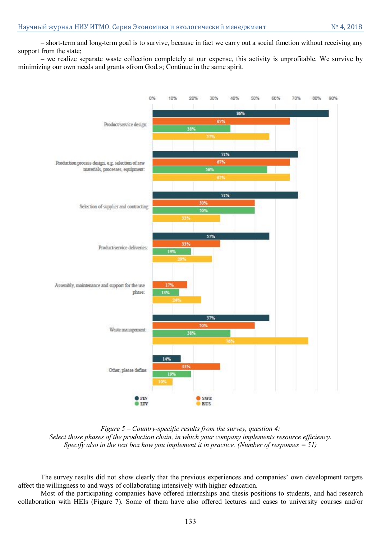– short-term and long-term goal is to survive, because in fact we carry out a social function without receiving any support from the state;

– we realize separate waste collection completely at our expense, this activity is unprofitable. We survive by minimizing our own needs and grants «from God.»; Continue in the same spirit.



*Figure 5 – Country-specific results from the survey, question 4: Select those phases of the production chain, in which your company implements resource efficiency. Specify also in the text box how you implement it in practice. (Number of responses = 51)*

The survey results did not show clearly that the previous experiences and companies' own development targets affect the willingness to and ways of collaborating intensively with higher education.

Most of the participating companies have offered internships and thesis positions to students, and had research collaboration with HEIs (Figure 7). Some of them have also offered lectures and cases to university courses and/or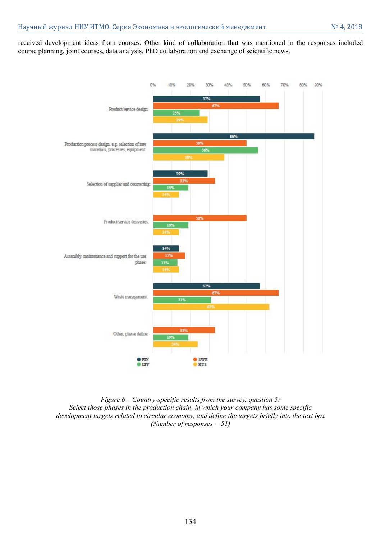received development ideas from courses. Other kind of collaboration that was mentioned in the responses included course planning, joint courses, data analysis, PhD collaboration and exchange of scientific news.



*Figure 6 – Country-specific results from the survey, question 5: Select those phases in the production chain, in which your company has some specific development targets related to circular economy, and define the targets briefly into the text box (Number of responses = 51)*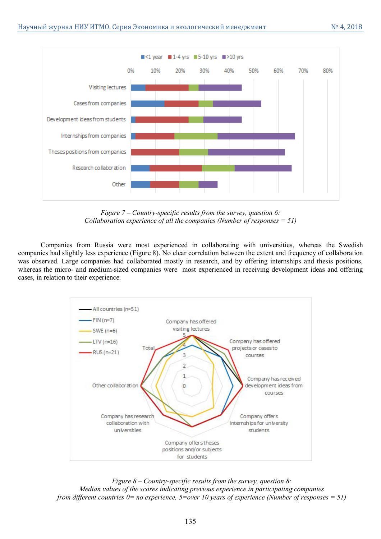

*Figure 7 – Country-specific results from the survey, question 6: Collaboration experience of all the companies (Number of responses = 51)*

Companies from Russia were most experienced in collaborating with universities, whereas the Swedish companies had slightly less experience (Figure 8). No clear correlation between the extent and frequency of collaboration was observed. Large companies had collaborated mostly in research, and by offering internships and thesis positions, whereas the micro- and medium-sized companies were most experienced in receiving development ideas and offering cases, in relation to their experience.



*Figure 8 – Country-specific results from the survey, question 8: Median values of the scores indicating previous experience in participating companies from different countries 0= no experience, 5=over 10 years of experience (Number of responses = 51)*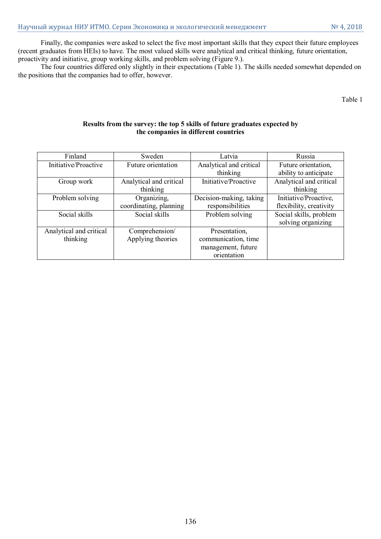Finally, the companies were asked to select the five most important skills that they expect their future employees (recent graduates from HEIs) to have. The most valued skills were analytical and critical thinking, future orientation, proactivity and initiative, group working skills, and problem solving (Figure 9.).

The four countries differed only slightly in their expectations (Table 1). The skills needed somewhat depended on the positions that the companies had to offer, however.

Table 1

# **Results from the survey: the top 5 skills of future graduates expected by the companies in different countries**

| Finland                 | Sweden                  | Latvia                  | Russia                  |
|-------------------------|-------------------------|-------------------------|-------------------------|
| Initiative/Proactive    | Future orientation      | Analytical and critical | Future orientation,     |
|                         |                         | thinking                | ability to anticipate   |
| Group work              | Analytical and critical | Initiative/Proactive    | Analytical and critical |
|                         | thinking                |                         | thinking                |
| Problem solving         | Organizing,             | Decision-making, taking | Initiative/Proactive,   |
|                         | coordinating, planning  | responsibilities        | flexibility, creativity |
| Social skills           | Social skills           | Problem solving         | Social skills, problem  |
|                         |                         |                         | solving organizing      |
| Analytical and critical | Comprehension/          | Presentation,           |                         |
| thinking                | Applying theories       | communication, time     |                         |
|                         |                         | management, future      |                         |
|                         |                         | orientation             |                         |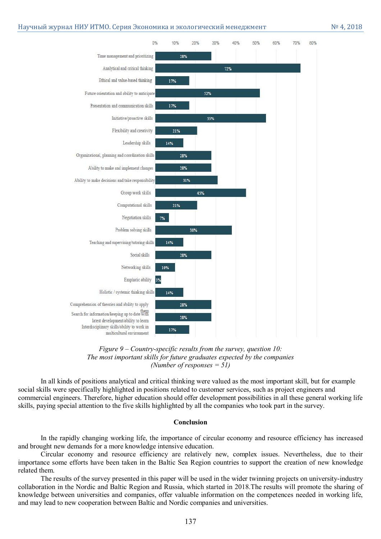

*Figure 9 – Country-specific results from the survey, question 10: The most important skills for future graduates expected by the companies (Number of responses = 51)*

In all kinds of positions analytical and critical thinking were valued as the most important skill, but for example social skills were specifically highlighted in positions related to customer services, such as project engineers and commercial engineers. Therefore, higher education should offer development possibilities in all these general working life skills, paying special attention to the five skills highlighted by all the companies who took part in the survey.

#### **Conclusion**

In the rapidly changing working life, the importance of circular economy and resource efficiency has increased and brought new demands for a more knowledge intensive education.

Circular economy and resource efficiency are relatively new, complex issues. Nevertheless, due to their importance some efforts have been taken in the Baltic Sea Region countries to support the creation of new knowledge related them.

The results of the survey presented in this paper will be used in the wider twinning projects on university-industry collaboration in the Nordic and Baltic Region and Russia, which started in 2018.The results will promote the sharing of knowledge between universities and companies, offer valuable information on the competences needed in working life, and may lead to new cooperation between Baltic and Nordic companies and universities.